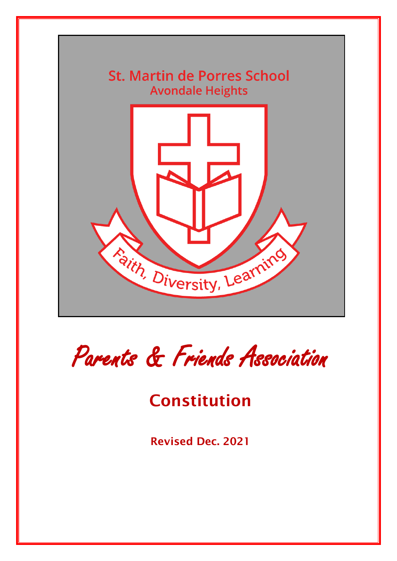



# **Constitution**

**Revised Dec. 2021**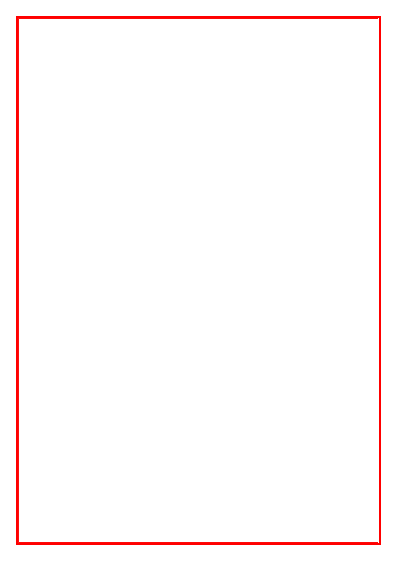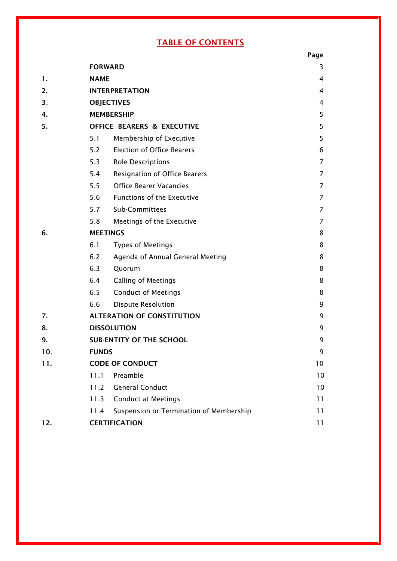## **TABLE OF CONTENTS**

|     |                                       |                                         | Page           |
|-----|---------------------------------------|-----------------------------------------|----------------|
|     | <b>FORWARD</b>                        |                                         | 3              |
| 1.  |                                       | <b>NAME</b>                             |                |
| 2.  |                                       | <b>INTERPRETATION</b>                   |                |
| 3.  |                                       | <b>OBJECTIVES</b>                       |                |
| 4.  | <b>MEMBERSHIP</b>                     |                                         | 5              |
| 5.  | <b>OFFICE BEARERS &amp; EXECUTIVE</b> |                                         | 5              |
|     | 5.1                                   | Membership of Executive                 | 5              |
|     | 5.2                                   | <b>Election of Office Bearers</b>       | 6              |
|     | 5.3                                   | <b>Role Descriptions</b>                | 7              |
|     | 5.4                                   | <b>Resignation of Office Bearers</b>    | $\overline{7}$ |
|     | 5.5                                   | <b>Office Bearer Vacancies</b>          | $\overline{7}$ |
|     | 5.6                                   | <b>Functions of the Executive</b>       | $\overline{7}$ |
|     | 5.7                                   | Sub-Committees                          | 7              |
|     | 5.8                                   | Meetings of the Executive               | $\overline{7}$ |
| 6.  | <b>MEETINGS</b>                       |                                         | 8              |
|     | 6.1                                   | <b>Types of Meetings</b>                | 8              |
|     | 6.2                                   | Agenda of Annual General Meeting        | 8              |
|     | 6.3                                   | Quorum                                  | 8              |
|     | 6.4                                   | <b>Calling of Meetings</b>              | 8              |
|     | 6.5                                   | <b>Conduct of Meetings</b>              | 8              |
|     | 6.6                                   | <b>Dispute Resolution</b>               | 9              |
| 7.  |                                       | <b>ALTERATION OF CONSTITUTION</b>       |                |
| 8.  |                                       | <b>DISSOLUTION</b>                      |                |
| 9.  |                                       | <b>SUB-ENTITY OF THE SCHOOL</b>         |                |
| 10. |                                       | <b>FUNDS</b>                            |                |
| 11. | <b>CODE OF CONDUCT</b>                |                                         | 10             |
|     | 11.1                                  | Preamble                                | 10             |
|     | 11.2                                  | <b>General Conduct</b>                  | 10             |
|     | 11.3                                  | <b>Conduct at Meetings</b>              | 11             |
|     | 11.4                                  | Suspension or Termination of Membership | 11             |
| 12. | <b>CERTIFICATION</b>                  |                                         | 11             |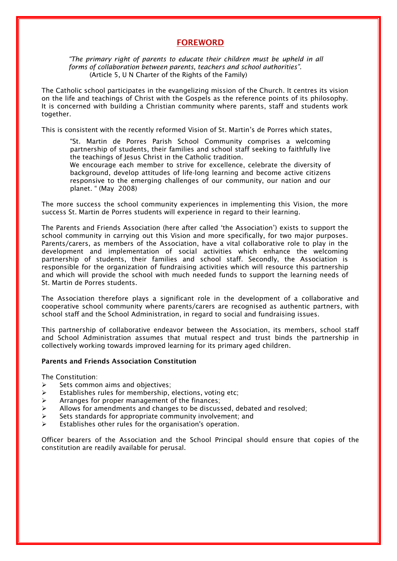## **FOREWORD**

*"The primary right of parents to educate their children must be upheld in all forms of collaboration between parents, teachers and school authorities".* (Article 5, U N Charter of the Rights of the Family)

The Catholic school participates in the evangelizing mission of the Church. It centres its vision on the life and teachings of Christ with the Gospels as the reference points of its philosophy. It is concerned with building a Christian community where parents, staff and students work together.

This is consistent with the recently reformed Vision of St. Martin's de Porres which states,

"St. Martin de Porres Parish School Community comprises a welcoming partnership of students, their families and school staff seeking to faithfully live the teachings of Jesus Christ in the Catholic tradition.

We encourage each member to strive for excellence, celebrate the diversity of background, develop attitudes of life-long learning and become active citizens responsive to the emerging challenges of our community, our nation and our planet. " (May 2008)

The more success the school community experiences in implementing this Vision, the more success St. Martin de Porres students will experience in regard to their learning.

The Parents and Friends Association (here after called 'the Association') exists to support the school community in carrying out this Vision and more specifically, for two major purposes. Parents/carers, as members of the Association, have a vital collaborative role to play in the development and implementation of social activities which enhance the welcoming partnership of students, their families and school staff. Secondly, the Association is responsible for the organization of fundraising activities which will resource this partnership and which will provide the school with much needed funds to support the learning needs of St. Martin de Porres students.

The Association therefore plays a significant role in the development of a collaborative and cooperative school community where parents/carers are recognised as authentic partners, with school staff and the School Administration, in regard to social and fundraising issues.

This partnership of collaborative endeavor between the Association, its members, school staff and School Administration assumes that mutual respect and trust binds the partnership in collectively working towards improved learning for its primary aged children.

#### **Parents and Friends Association Constitution**

The Constitution:

- $\triangleright$  Sets common aims and objectives;
- $\triangleright$  Establishes rules for membership, elections, voting etc;
- $\triangleright$  Arranges for proper management of the finances;
- $\triangleright$  Allows for amendments and changes to be discussed, debated and resolved;
- $\triangleright$  Sets standards for appropriate community involvement; and
- $\triangleright$  Establishes other rules for the organisation's operation.

Officer bearers of the Association and the School Principal should ensure that copies of the constitution are readily available for perusal.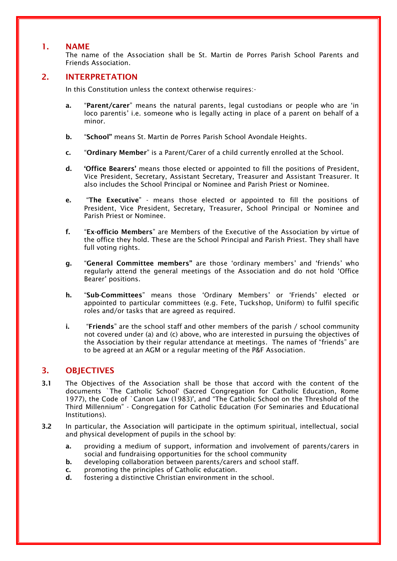## **1. NAME**

The name of the Association shall be St. Martin de Porres Parish School Parents and Friends Association.

## **2. INTERPRETATION**

In this Constitution unless the context otherwise requires:-

- **a.** "**Parent/carer**" means the natural parents, legal custodians or people who are 'in loco parentis' i.e. someone who is legally acting in place of a parent on behalf of a minor.
- **b.** "**School"** means St. Martin de Porres Parish School Avondale Heights.
- **c.** "**Ordinary Member**" is a Parent/Carer of a child currently enrolled at the School.
- **d. 'Office Bearers'** means those elected or appointed to fill the positions of President, Vice President, Secretary, Assistant Secretary, Treasurer and Assistant Treasurer. It also includes the School Principal or Nominee and Parish Priest or Nominee.
- **e.** "**The Executive**" means those elected or appointed to fill the positions of President, Vice President, Secretary, Treasurer, School Principal or Nominee and Parish Priest or Nominee.
- **f.** "**Ex-officio Members**" are Members of the Executive of the Association by virtue of the office they hold. These are the School Principal and Parish Priest. They shall have full voting rights.
- **g.** "**General Committee members"** are those 'ordinary members' and 'friends' who regularly attend the general meetings of the Association and do not hold 'Office Bearer' positions.
- **h.** "**Sub-Committees**" means those 'Ordinary Members' or 'Friends' elected or appointed to particular committees (e.g. Fete, Tuckshop, Uniform) to fulfil specific roles and/or tasks that are agreed as required.
- **i.** "**Friends**" are the school staff and other members of the parish / school community not covered under (a) and (c) above, who are interested in pursuing the objectives of the Association by their regular attendance at meetings. The names of "friends" are to be agreed at an AGM or a regular meeting of the P&F Association.

## **3. OBJECTIVES**

- **3.1** The Objectives of the Association shall be those that accord with the content of the documents `The Catholic School' (Sacred Congregation for Catholic Education, Rome 1977), the Code of `Canon Law (1983)', and "The Catholic School on the Threshold of the Third Millennium" - Congregation for Catholic Education (For Seminaries and Educational Institutions).
- **3.2** In particular, the Association will participate in the optimum spiritual, intellectual, social and physical development of pupils in the school by:
	- **a.** providing a medium of support, information and involvement of parents/carers in social and fundraising opportunities for the school community
	- **b.** developing collaboration between parents/carers and school staff.
	- **c.** promoting the principles of Catholic education.
	- **d.** fostering a distinctive Christian environment in the school.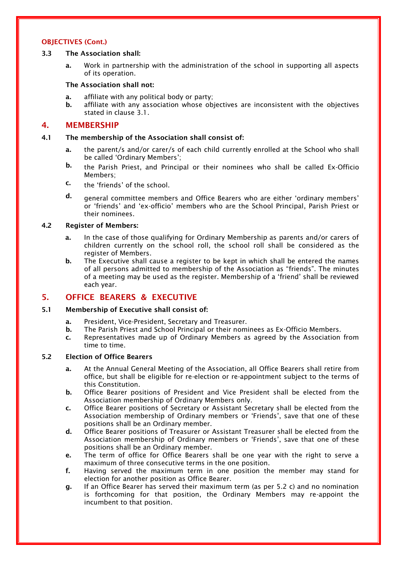#### **OBJECTIVES (Cont.)**

#### **3.3 The Association shall:**

**a.** Work in partnership with the administration of the school in supporting all aspects of its operation.

#### **The Association shall not:**

- affiliate with any political body or party;
- **b.** affiliate with any association whose objectives are inconsistent with the objectives stated in clause 3.1.

### **4. MEMBERSHIP**

#### **4.1 The membership of the Association shall consist of:**

- **a.** the parent/s and/or carer/s of each child currently enrolled at the School who shall be called 'Ordinary Members';
- **b.** the Parish Priest, and Principal or their nominees who shall be called Ex-Officio Members;
- **c.** the 'friends' of the school.
- **d.** general committee members and Office Bearers who are either 'ordinary members' or 'friends' and 'ex-officio' members who are the School Principal, Parish Priest or their nominees.

#### **4.2 Register of Members:**

- **a.** In the case of those qualifying for Ordinary Membership as parents and/or carers of children currently on the school roll, the school roll shall be considered as the register of Members.
- **b.** The Executive shall cause a register to be kept in which shall be entered the names of all persons admitted to membership of the Association as "friends". The minutes of a meeting may be used as the register. Membership of a 'friend' shall be reviewed each year.

## **5. OFFICE BEARERS & EXECUTIVE**

#### **5.1 Membership of Executive shall consist of:**

- **a.** President, Vice-President, Secretary and Treasurer.
- **b.** The Parish Priest and School Principal or their nominees as Ex-Officio Members.
- **c.** Representatives made up of Ordinary Members as agreed by the Association from time to time.

#### **5.2 Election of Office Bearers**

- **a.** At the Annual General Meeting of the Association, all Office Bearers shall retire from office, but shall be eligible for re-election or re-appointment subject to the terms of this Constitution.
- **b.** Office Bearer positions of President and Vice President shall be elected from the Association membership of Ordinary Members only.
- **c.** Office Bearer positions of Secretary or Assistant Secretary shall be elected from the Association membership of Ordinary members or 'Friends', save that one of these positions shall be an Ordinary member.
- **d.** Office Bearer positions of Treasurer or Assistant Treasurer shall be elected from the Association membership of Ordinary members or 'Friends', save that one of these positions shall be an Ordinary member.
- **e.** The term of office for Office Bearers shall be one year with the right to serve a maximum of three consecutive terms in the one position.
- **f.** Having served the maximum term in one position the member may stand for election for another position as Office Bearer.
- **g.** If an Office Bearer has served their maximum term (as per 5.2 c) and no nomination is forthcoming for that position, the Ordinary Members may re-appoint the incumbent to that position.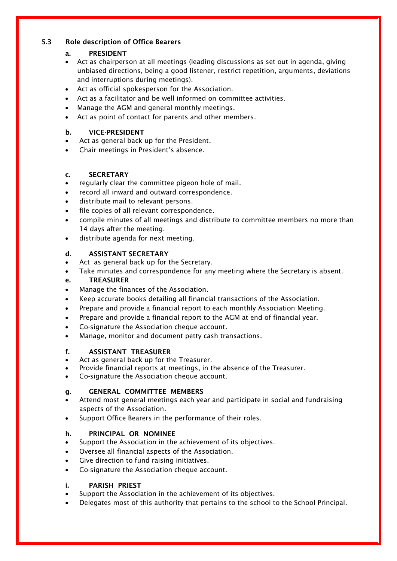## **5.3 Role description of Office Bearers**

## **a. PRESIDENT**

- Act as chairperson at all meetings (leading discussions as set out in agenda, giving unbiased directions, being a good listener, restrict repetition, arguments, deviations and interruptions during meetings).
- Act as official spokesperson for the Association.
- Act as a facilitator and be well informed on committee activities.
- Manage the AGM and general monthly meetings.
- Act as point of contact for parents and other members.

## **b. VICE-PRESIDENT**

- Act as general back up for the President.
- Chair meetings in President's absence.

## **c. SECRETARY**

- regularly clear the committee pigeon hole of mail.
- record all inward and outward correspondence.
- distribute mail to relevant persons.
- file copies of all relevant correspondence.
- compile minutes of all meetings and distribute to committee members no more than 14 days after the meeting.
- distribute agenda for next meeting.

## **d. ASSISTANT SECRETARY**

- Act as general back up for the Secretary.
- Take minutes and correspondence for any meeting where the Secretary is absent.

## **e. TREASURER**

- Manage the finances of the Association.
- Keep accurate books detailing all financial transactions of the Association.
- Prepare and provide a financial report to each monthly Association Meeting.
- Prepare and provide a financial report to the AGM at end of financial year.
- Co-signature the Association cheque account.
- Manage, monitor and document petty cash transactions.

## **f. ASSISTANT TREASURER**

- Act as general back up for the Treasurer.
- Provide financial reports at meetings, in the absence of the Treasurer.
- Co-signature the Association cheque account.

## **g. GENERAL COMMITTEE MEMBERS**

- Attend most general meetings each year and participate in social and fundraising aspects of the Association.
- Support Office Bearers in the performance of their roles.

## **h. PRINCIPAL OR NOMINEE**

- Support the Association in the achievement of its objectives.
- Oversee all financial aspects of the Association.
- Give direction to fund raising initiatives.
- Co-signature the Association cheque account.

## **i. PARISH PRIEST**

- Support the Association in the achievement of its objectives.
- Delegates most of this authority that pertains to the school to the School Principal.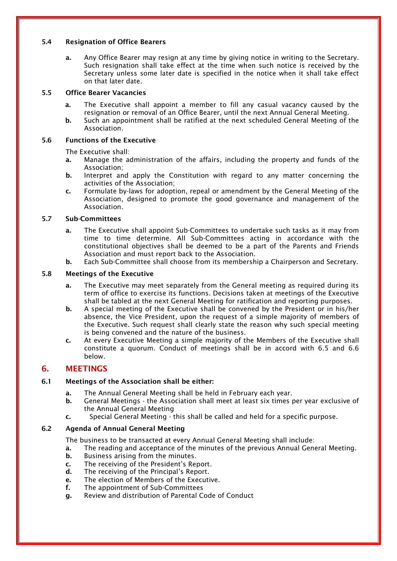#### **5.4 Resignation of Office Bearers**

**a.** Any Office Bearer may resign at any time by giving notice in writing to the Secretary. Such resignation shall take effect at the time when such notice is received by the Secretary unless some later date is specified in the notice when it shall take effect on that later date.

### **5.5 Office Bearer Vacancies**

- **a.** The Executive shall appoint a member to fill any casual vacancy caused by the resignation or removal of an Office Bearer, until the next Annual General Meeting.
- **b.** Such an appointment shall be ratified at the next scheduled General Meeting of the Association.

#### **5.6 Functions of the Executive**

The Executive shall:

- **a.** Manage the administration of the affairs, including the property and funds of the Association;
- **b.** Interpret and apply the Constitution with regard to any matter concerning the activities of the Association;
- **c.** Formulate by-laws for adoption, repeal or amendment by the General Meeting of the Association, designed to promote the good governance and management of the Association.

### **5.7 Sub-Committees**

- **a.** The Executive shall appoint Sub-Committees to undertake such tasks as it may from time to time determine. All Sub-Committees acting in accordance with the constitutional objectives shall be deemed to be a part of the Parents and Friends Association and must report back to the Association.
- **b.** Each Sub-Committee shall choose from its membership a Chairperson and Secretary.

## **5.8 Meetings of the Executive**

- **a.** The Executive may meet separately from the General meeting as required during its term of office to exercise its functions. Decisions taken at meetings of the Executive shall be tabled at the next General Meeting for ratification and reporting purposes.
- **b.** A special meeting of the Executive shall be convened by the President or in his/her absence, the Vice President, upon the request of a simple majority of members of the Executive. Such request shall clearly state the reason why such special meeting is being convened and the nature of the business.
- **c.** At every Executive Meeting a simple majority of the Members of the Executive shall constitute a quorum. Conduct of meetings shall be in accord with 6.5 and 6.6 below.

## **6. MEETINGS**

#### **6.1 Meetings of the Association shall be either:**

- **a.** The Annual General Meeting shall be held in February each year.
- **b.** General Meetings the Association shall meet at least six times per year exclusive of the Annual General Meeting
- **c.** Special General Meeting this shall be called and held for a specific purpose.

## **6.2 Agenda of Annual General Meeting**

The business to be transacted at every Annual General Meeting shall include:

- **a.** The reading and acceptance of the minutes of the previous Annual General Meeting.
- **b.** Business arising from the minutes.
- **c.** The receiving of the President's Report.
- d. The receiving of the Principal's Report.
- **e.** The election of Members of the Executive.
- **f.** The appointment of Sub-Committees
- **g.** Review and distribution of Parental Code of Conduct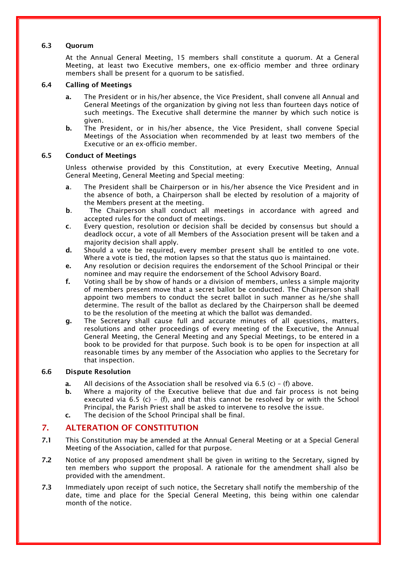#### **6.3 Quorum**

At the Annual General Meeting, 15 members shall constitute a quorum. At a General Meeting, at least two Executive members, one ex-officio member and three ordinary members shall be present for a quorum to be satisfied.

### **6.4 Calling of Meetings**

- **a.** The President or in his/her absence, the Vice President, shall convene all Annual and General Meetings of the organization by giving not less than fourteen days notice of such meetings. The Executive shall determine the manner by which such notice is given.
- **b.** The President, or in his/her absence, the Vice President, shall convene Special Meetings of the Association when recommended by at least two members of the Executive or an ex-officio member.

### **6.5 Conduct of Meetings**

Unless otherwise provided by this Constitution, at every Executive Meeting, Annual General Meeting, General Meeting and Special meeting:

- **a**. The President shall be Chairperson or in his/her absence the Vice President and in the absence of both, a Chairperson shall be elected by resolution of a majority of the Members present at the meeting.
- **b**. The Chairperson shall conduct all meetings in accordance with agreed and accepted rules for the conduct of meetings.
- **c**. Every question, resolution or decision shall be decided by consensus but should a deadlock occur, a vote of all Members of the Association present will be taken and a majority decision shall apply.
- **d.** Should a vote be required, every member present shall be entitled to one vote. Where a vote is tied, the motion lapses so that the status quo is maintained.
- **e.** Any resolution or decision requires the endorsement of the School Principal or their nominee and may require the endorsement of the School Advisory Board.
- **f.** Voting shall be by show of hands or a division of members, unless a simple majority of members present move that a secret ballot be conducted. The Chairperson shall appoint two members to conduct the secret ballot in such manner as he/she shall determine. The result of the ballot as declared by the Chairperson shall be deemed to be the resolution of the meeting at which the ballot was demanded.
- **g.** The Secretary shall cause full and accurate minutes of all questions, matters, resolutions and other proceedings of every meeting of the Executive, the Annual General Meeting, the General Meeting and any Special Meetings, to be entered in a book to be provided for that purpose. Such book is to be open for inspection at all reasonable times by any member of the Association who applies to the Secretary for that inspection.

#### **6.6 Dispute Resolution**

- **a.** All decisions of the Association shall be resolved via 6.5 (c) (f) above.
- **b.** Where a majority of the Executive believe that due and fair process is not being executed via 6.5 (c) – (f), and that this cannot be resolved by or with the School Principal, the Parish Priest shall be asked to intervene to resolve the issue.
- **c.** The decision of the School Principal shall be final.

## **7. ALTERATION OF CONSTITUTION**

- **7.1** This Constitution may be amended at the Annual General Meeting or at a Special General Meeting of the Association, called for that purpose.
- **7.2** Notice of any proposed amendment shall be given in writing to the Secretary, signed by ten members who support the proposal. A rationale for the amendment shall also be provided with the amendment.
- **7.3** Immediately upon receipt of such notice, the Secretary shall notify the membership of the date, time and place for the Special General Meeting, this being within one calendar month of the notice.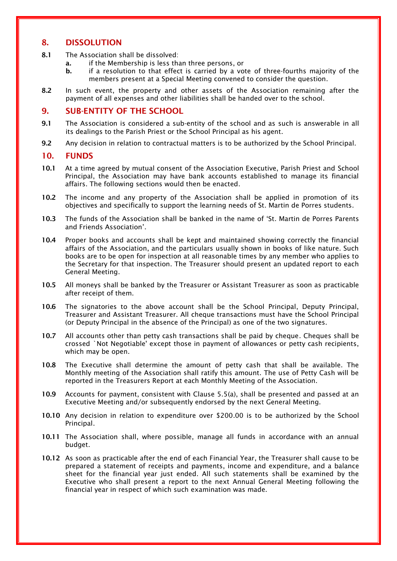## **8. DISSOLUTION**

- **8.1** The Association shall be dissolved:
	- **a.** if the Membership is less than three persons, or
		- **b.** if a resolution to that effect is carried by a vote of three-fourths majority of the members present at a Special Meeting convened to consider the question.
- **8.2** In such event, the property and other assets of the Association remaining after the payment of all expenses and other liabilities shall be handed over to the school.

## **9. SUB-ENTITY OF THE SCHOOL**

- **9.1** The Association is considered a sub-entity of the school and as such is answerable in all its dealings to the Parish Priest or the School Principal as his agent.
- **9.2** Any decision in relation to contractual matters is to be authorized by the School Principal.

### **10. FUNDS**

- **10.1** At a time agreed by mutual consent of the Association Executive, Parish Priest and School Principal, the Association may have bank accounts established to manage its financial affairs. The following sections would then be enacted.
- **10.2** The income and any property of the Association shall be applied in promotion of its objectives and specifically to support the learning needs of St. Martin de Porres students.
- **10.3** The funds of the Association shall be banked in the name of 'St. Martin de Porres Parents and Friends Association'.
- **10.4** Proper books and accounts shall be kept and maintained showing correctly the financial affairs of the Association, and the particulars usually shown in books of like nature. Such books are to be open for inspection at all reasonable times by any member who applies to the Secretary for that inspection. The Treasurer should present an updated report to each General Meeting.
- **10.5** All moneys shall be banked by the Treasurer or Assistant Treasurer as soon as practicable after receipt of them.
- **10.6** The signatories to the above account shall be the School Principal, Deputy Principal, Treasurer and Assistant Treasurer. All cheque transactions must have the School Principal (or Deputy Principal in the absence of the Principal) as one of the two signatures.
- **10.7** All accounts other than petty cash transactions shall be paid by cheque. Cheques shall be crossed `Not Negotiable' except those in payment of allowances or petty cash recipients, which may be open.
- **10.8** The Executive shall determine the amount of petty cash that shall be available. The Monthly meeting of the Association shall ratify this amount. The use of Petty Cash will be reported in the Treasurers Report at each Monthly Meeting of the Association.
- **10.9** Accounts for payment, consistent with Clause 5.5(a), shall be presented and passed at an Executive Meeting and/or subsequently endorsed by the next General Meeting.
- **10.10** Any decision in relation to expenditure over \$200.00 is to be authorized by the School Principal.
- **10.11** The Association shall, where possible, manage all funds in accordance with an annual budget.
- **10.12** As soon as practicable after the end of each Financial Year, the Treasurer shall cause to be prepared a statement of receipts and payments, income and expenditure, and a balance sheet for the financial year just ended. All such statements shall be examined by the Executive who shall present a report to the next Annual General Meeting following the financial year in respect of which such examination was made.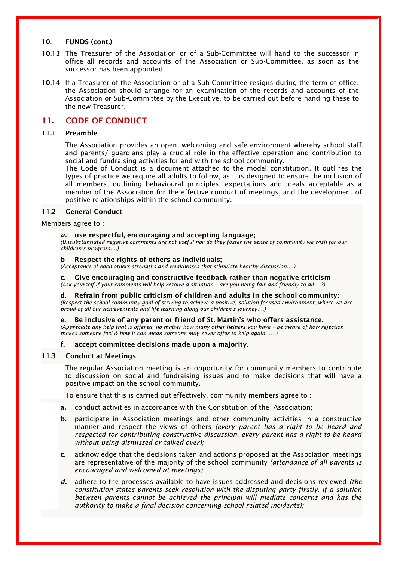#### **10. FUNDS (cont.)**

- **10.13** The Treasurer of the Association or of a Sub-Committee will hand to the successor in office all records and accounts of the Association or Sub-Committee, as soon as the successor has been appointed.
- **10.14** If a Treasurer of the Association or of a Sub-Committee resigns during the term of office, the Association should arrange for an examination of the records and accounts of the Association or Sub-Committee by the Executive, to be carried out before handing these to the new Treasurer.

## **11. CODE OF CONDUCT**

#### **11.1 Preamble**

The Association provides an open, welcoming and safe environment whereby school staff and parents/ guardians play a crucial role in the effective operation and contribution to social and fundraising activities for and with the school community.

The Code of Conduct is a document attached to the model constitution. It outlines the types of practice we require all adults to follow, as it is designed to ensure the inclusion of all members, outlining behavioural principles, expectations and ideals acceptable as a member of the Association for the effective conduct of meetings, and the development of positive relationships within the school community.

#### **11.2 General Conduct**

#### Members agree to :

#### *a.* **use respectful, encouraging and accepting language;**

*(Unsubstantiated negative comments are not useful nor do they foster the sense of community we wish for our children's progress….)*

#### **b Respect the rights of others as individuals;**

*(Acceptance of each others strengths and weaknesses that stimulate healthy discussion….)*

#### **c. Give encouraging and constructive feedback rather than negative criticism** *(Ask yourself if your comments will help resolve a situation – are you being fair and friendly to all....?)*

**d. Refrain from public criticism of children and adults in the school community;**

*(Respect the school community goal of striving to achieve a positive, solution focused environment, where we are proud of all our achievements and life learning along our children's journey….)*

#### **e. Be inclusive of any parent or friend of St. Martin's who offers assistance.**

*(Appreciate any help that is offered, no matter how many other helpers you have - be aware of how rejection makes someone feel & how it can mean someone may never offer to help again……)*

#### **f. accept committee decisions made upon a majority.**

#### **11.3 Conduct at Meetings**

The regular Association meeting is an opportunity for community members to contribute to discussion on social and fundraising issues and to make decisions that will have a positive impact on the school community.

To ensure that this is carried out effectively, community members agree to :

- **a.** conduct activities in accordance with the Constitution of the Association;
- **b.** participate in Association meetings and other community activities in a constructive manner and respect the views of others *(every parent has a right to be heard and respected for contributing constructive discussion, every parent has a right to be heard without being dismissed or talked over);*
- **c.** acknowledge that the decisions taken and actions proposed at the Association meetings are representative of the majority of the school community *(attendance of all parents is encouraged and welcomed at meetings)*;
- *d.* adhere to the processes available to have issues addressed and decisions reviewed *(the constitution states parents seek resolution with the disputing party firstly. If a solution between parents cannot be achieved the principal will mediate concerns and has the authority to make a final decision concerning school related incidents);*